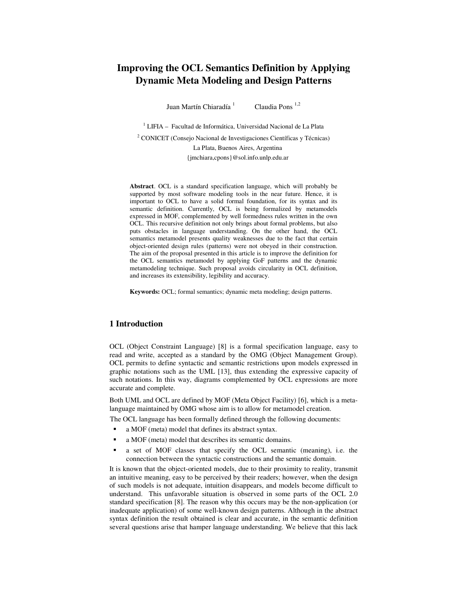# **Improving the OCL Semantics Definition by Applying Dynamic Meta Modeling and Design Patterns**

Juan Martín Chiaradía<sup>1</sup>  $1$  Claudia Pons<sup>1,2</sup>

<sup>1</sup> LIFIA – Facultad de Informática, Universidad Nacional de La Plata <sup>2</sup> CONICET (Consejo Nacional de Investigaciones Científicas y Técnicas) La Plata, Buenos Aires, Argentina {jmchiara,cpons}@sol.info.unlp.edu.ar

**Abstract**. OCL is a standard specification language, which will probably be supported by most software modeling tools in the near future. Hence, it is important to OCL to have a solid formal foundation, for its syntax and its semantic definition. Currently, OCL is being formalized by metamodels expressed in MOF, complemented by well formedness rules written in the own OCL. This recursive definition not only brings about formal problems, but also puts obstacles in language understanding. On the other hand, the OCL semantics metamodel presents quality weaknesses due to the fact that certain object-oriented design rules (patterns) were not obeyed in their construction. The aim of the proposal presented in this article is to improve the definition for the OCL semantics metamodel by applying GoF patterns and the dynamic metamodeling technique. Such proposal avoids circularity in OCL definition, and increases its extensibility, legibility and accuracy.

**Keywords:** OCL; formal semantics; dynamic meta modeling; design patterns.

## **1 Introduction**

OCL (Object Constraint Language) [8] is a formal specification language, easy to read and write, accepted as a standard by the OMG (Object Management Group). OCL permits to define syntactic and semantic restrictions upon models expressed in graphic notations such as the UML [13], thus extending the expressive capacity of such notations. In this way, diagrams complemented by OCL expressions are more accurate and complete.

Both UML and OCL are defined by MOF (Meta Object Facility) [6], which is a metalanguage maintained by OMG whose aim is to allow for metamodel creation.

The OCL language has been formally defined through the following documents:

- a MOF (meta) model that defines its abstract syntax.
- a MOF (meta) model that describes its semantic domains.
- a set of MOF classes that specify the OCL semantic (meaning), i.e. the connection between the syntactic constructions and the semantic domain.

It is known that the object-oriented models, due to their proximity to reality, transmit an intuitive meaning, easy to be perceived by their readers; however, when the design of such models is not adequate, intuition disappears, and models become difficult to understand. This unfavorable situation is observed in some parts of the OCL 2.0 standard specification [8]. The reason why this occurs may be the non-application (or inadequate application) of some well-known design patterns. Although in the abstract syntax definition the result obtained is clear and accurate, in the semantic definition several questions arise that hamper language understanding. We believe that this lack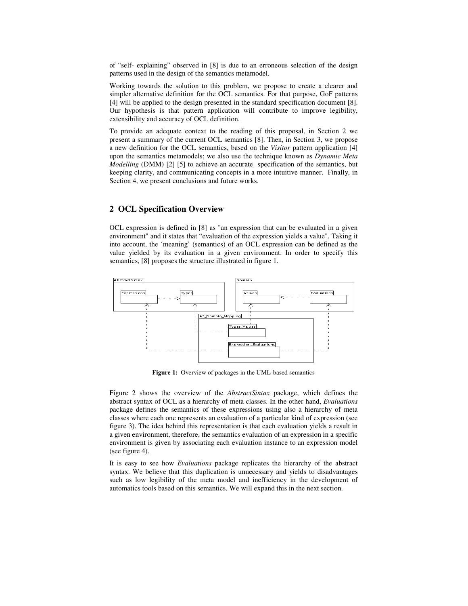of "self- explaining" observed in [8] is due to an erroneous selection of the design patterns used in the design of the semantics metamodel.

Working towards the solution to this problem, we propose to create a clearer and simpler alternative definition for the OCL semantics. For that purpose, GoF patterns [4] will be applied to the design presented in the standard specification document [8]. Our hypothesis is that pattern application will contribute to improve legibility, extensibility and accuracy of OCL definition.

To provide an adequate context to the reading of this proposal, in Section 2 we present a summary of the current OCL semantics [8]. Then, in Section 3, we propose a new definition for the OCL semantics, based on the *Visitor* pattern application [4] upon the semantics metamodels; we also use the technique known as *Dynamic Meta Modelling* (DMM) [2] [5] to achieve an accurate specification of the semantics, but keeping clarity, and communicating concepts in a more intuitive manner. Finally, in Section 4, we present conclusions and future works.

#### **2 OCL Specification Overview**

OCL expression is defined in [8] as "an expression that can be evaluated in a given environment" and it states that "evaluation of the expression yields a value". Taking it into account, the 'meaning' (semantics) of an OCL expression can be defined as the value yielded by its evaluation in a given environment. In order to specify this semantics, [8] proposes the structure illustrated in figure 1.



**Figure 1:** Overview of packages in the UML-based semantics

Figure 2 shows the overview of the *AbstractSintax* package, which defines the abstract syntax of OCL as a hierarchy of meta classes. In the other hand, *Evaluations* package defines the semantics of these expressions using also a hierarchy of meta classes where each one represents an evaluation of a particular kind of expression (see figure 3). The idea behind this representation is that each evaluation yields a result in a given environment, therefore, the semantics evaluation of an expression in a specific environment is given by associating each evaluation instance to an expression model (see figure 4).

It is easy to see how *Evaluations* package replicates the hierarchy of the abstract syntax. We believe that this duplication is unnecessary and yields to disadvantages such as low legibility of the meta model and inefficiency in the development of automatics tools based on this semantics. We will expand this in the next section.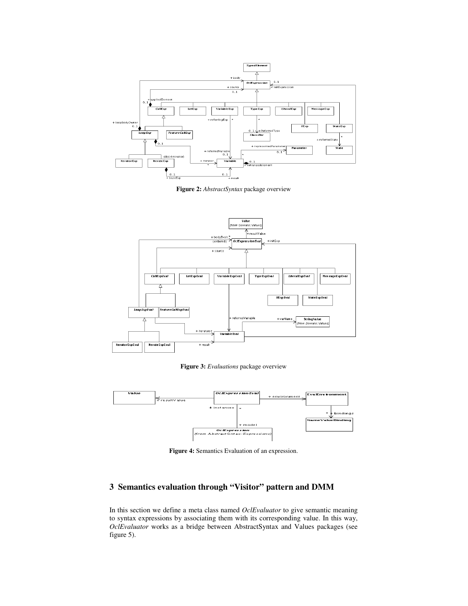





**Figure 3:** *Evaluations* package overview



**Figure 4:** Semantics Evaluation of an expression.

## **3 Semantics evaluation through "Visitor" pattern and DMM**

In this section we define a meta class named *OclEvaluator* to give semantic meaning to syntax expressions by associating them with its corresponding value. In this way, *OclEvaluator* works as a bridge between AbstractSyntax and Values packages (see figure 5).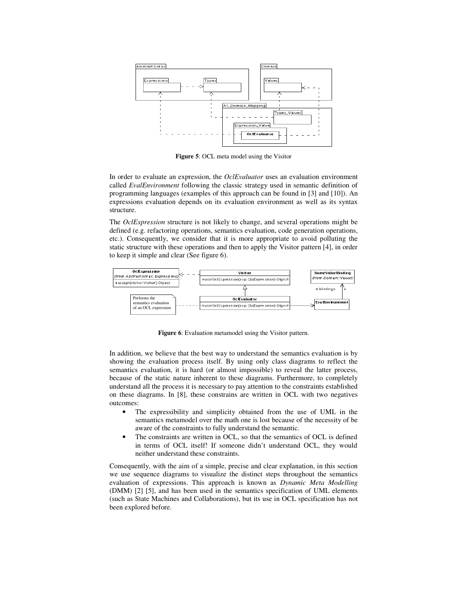

**Figure 5**: OCL meta model using the Visitor

In order to evaluate an expression, the *OclEvaluator* uses an evaluation environment called *EvalEnvironment* following the classic strategy used in semantic definition of programming languages (examples of this approach can be found in [3] and [10]). An expressions evaluation depends on its evaluation environment as well as its syntax structure.

The *OclExpression* structure is not likely to change, and several operations might be defined (e.g. refactoring operations, semantics evaluation, code generation operations, etc.). Consequently, we consider that it is more appropriate to avoid polluting the static structure with these operations and then to apply the Visitor pattern [4], in order to keep it simple and clear (See figure 6).



**Figure 6**: Evaluation metamodel using the Visitor pattern.

In addition, we believe that the best way to understand the semantics evaluation is by showing the evaluation process itself. By using only class diagrams to reflect the semantics evaluation, it is hard (or almost impossible) to reveal the latter process, because of the static nature inherent to these diagrams. Furthermore, to completely understand all the process it is necessary to pay attention to the constraints established on these diagrams. In [8], these constrains are written in OCL with two negatives outcomes:

- The expressibility and simplicity obtained from the use of UML in the semantics metamodel over the math one is lost because of the necessity of be aware of the constraints to fully understand the semantic.
- The constraints are written in OCL, so that the semantics of OCL is defined in terms of OCL itself! If someone didn't understand OCL, they would neither understand these constraints.

Consequently, with the aim of a simple, precise and clear explanation, in this section we use sequence diagrams to visualize the distinct steps throughout the semantics evaluation of expressions. This approach is known as *Dynamic Meta Modelling* (DMM) [2] [5], and has been used in the semantics specification of UML elements (such as State Machines and Collaborations), but its use in OCL specification has not been explored before.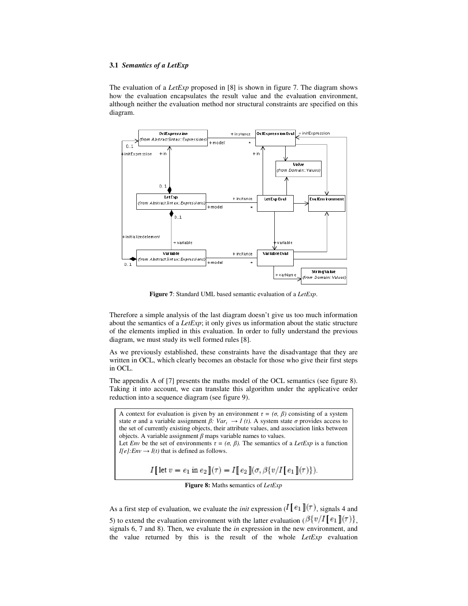#### **3.1** *Semantics of a LetExp*

The evaluation of a *LetExp* proposed in [8] is shown in figure 7. The diagram shows how the evaluation encapsulates the result value and the evaluation environment, although neither the evaluation method nor structural constraints are specified on this diagram.



**Figure 7**: Standard UML based semantic evaluation of a *LetExp*.

Therefore a simple analysis of the last diagram doesn't give us too much information about the semantics of a *LetExp*; it only gives us information about the static structure of the elements implied in this evaluation. In order to fully understand the previous diagram, we must study its well formed rules [8].

As we previously established, these constraints have the disadvantage that they are written in OCL, which clearly becomes an obstacle for those who give their first steps in OCL.

The appendix A of [7] presents the maths model of the OCL semantics (see figure 8). Taking it into account, we can translate this algorithm under the applicative order reduction into a sequence diagram (see figure 9).

A context for evaluation is given by an environment  $\tau = (\sigma, \beta)$  consisting of a system state  $\sigma$  and a variable assignment  $\beta$ :  $Var_t \rightarrow I(t)$ . A system state  $\sigma$  provides access to the set of currently existing objects, their attribute values, and association links between objects. A variable assignment  $\beta$  maps variable names to values. Let *Env* be the set of environments  $\tau = (\sigma, \beta)$ . The semantics of a *LetExp* is a function  $I[e]:Env \rightarrow I(t)$  that is defined as follows.  $I[\text{let } v = e_1 \text{ in } e_2]$  $(\tau) = I[\![e_2]\!](\sigma, \beta \{v/I[\![e_1]\!](\tau)\}).$ 

**Figure 8:** Maths **s**emantics of *LetExp*

As a first step of evaluation, we evaluate the *init* expression ( $I[\![e_1]\!]$  $(\tau)$ , signals 4 and 5) to extend the evaluation environment with the latter evaluation ( $\beta \{v/I[\![ e_1]\!](\tau)\}$ , signals 6, 7 and 8). Then, we evaluate the *in* expression in the new environment, and the value returned by this is the result of the whole *LetExp* evaluation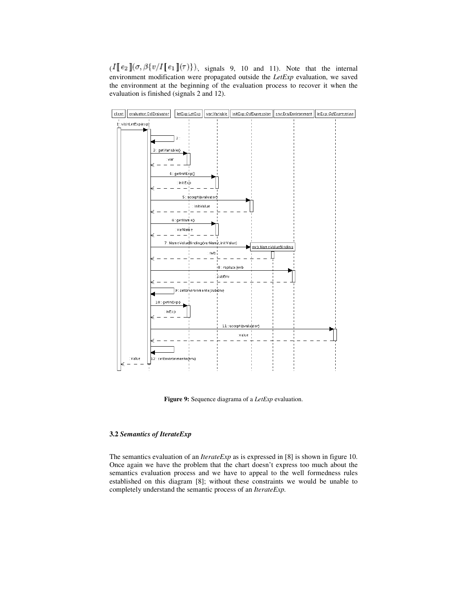$(I[[e_2]](\sigma, \beta\{v/I[[e_1]](\tau)\})$ , signals 9, 10 and 11). Note that the internal environment modification were propagated outside the *LetExp* evaluation, we saved the environment at the beginning of the evaluation process to recover it when the evaluation is finished (signals 2 and 12).



**Figure 9:** Sequence diagrama of a *LetExp* evaluation.

#### **3.2** *Semantics of IterateExp*

The semantics evaluation of an *IterateExp* as is expressed in [8] is shown in figure 10. Once again we have the problem that the chart doesn't express too much about the semantics evaluation process and we have to appeal to the well formedness rules established on this diagram [8]; without these constraints we would be unable to completely understand the semantic process of an *IterateExp.*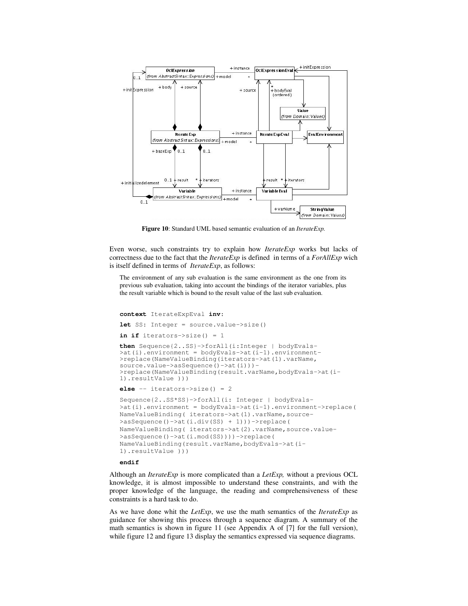

**Figure 10**: Standard UML based semantic evaluation of an *IterateExp.*

Even worse, such constraints try to explain how *IterateExp* works but lacks of correctness due to the fact that the *IterateExp* is defined in terms of a *ForAllExp* wich is itself defined in terms of *IterateExp*, as follows:

The environment of any sub evaluation is the same environment as the one from its previous sub evaluation, taking into account the bindings of the iterator variables, plus the result variable which is bound to the result value of the last sub evaluation.

```
context IterateExpEval inv:
let SS: Integer = source.value->size()
\textbf{in} \textbf{if} iterators->size() = 1
then Sequence{2..SS}->forAll(i:Integer | bodyEvals-
>at(i).environment = bodyEvals->at(i-1).environment-
>replace(NameValueBinding(iterators->at(1).varName,
source.value->asSequence()->at(i)))-
>replace(NameValueBinding(result.varName,bodyEvals->at(i-
1).resultValue )))
else -- iterators->size() = 2
Sequence{2..SS*SS}->forAll(i: Integer | bodyEvals-
>at(i).environment = bodyEvals->at(i-1).environment->replace(
NameValueBinding( iterators->at(1).varName,source-
>asSequence()->at(i.div(SS) + 1)))->replace(
NameValueBinding( iterators->at(2).varName,source.value-
>asSequence()->at(i.mod(SS))))->replace(
NameValueBinding(result.varName,bodyEvals->at(i-
1).resultValue )))
```
**endif**

Although an *IterateExp* is more complicated than a *LetExp,* without a previous OCL knowledge, it is almost impossible to understand these constraints, and with the proper knowledge of the language, the reading and comprehensiveness of these constraints is a hard task to do.

As we have done whit the *LetExp*, we use the math semantics of the *IterateExp* as guidance for showing this process through a sequence diagram. A summary of the math semantics is shown in figure 11 (see Appendix A of [7] for the full version), while figure 12 and figure 13 display the semantics expressed via sequence diagrams.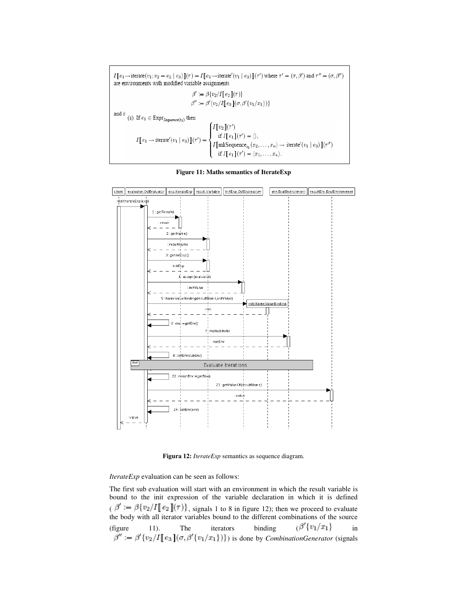$I\big[\,e_1\mathop{\rightarrow}\text{iterate}(v_1;v_2=e_2\mid e_3)\,\rbrack\!\rbrack(\tau)=I\big[\!\rbrack\!\rbrack e_1\mathop{\rightarrow}\text{iterate}'(v_1\mid e_3)\,\rbrack\!\rbrack(\tau')\text{ where }\tau'=(\sigma,\beta')\text{ and }\tau''=(\sigma,\beta'')$ are environments with modified variable assignments  $\beta' := \beta \{v_2/I \llbracket e_2 \rrbracket(\tau) \}$ 

 $\beta^{\prime\prime}:=\beta^{\prime}\{v_2/I{\mathbb{I}}\left[e_3\right]\!(\sigma,\beta^{\prime}\{v_1/x_1\})\}$ 

and it (a) If  $e_1\in\mathrm{Expr}_{\mathit{Sequence}(t_1)}$  then

 $\label{eq:1} I[\![\,e_1\rightarrow\textrm{iterate}'(v_1\mid e_3)\,](\tau') = \begin{cases} I[\![\,v_2\,](\tau') \\ \quad\mbox{if } I[\![\,e_1\,](\tau') = \langle \rangle, \\ I[\![\,\textrm{mkSequence}_{t_1}(x_2,\ldots,x_n)\rightarrow\textrm{iterate}'(v_1\mid e_3)\,](\tau'') \\ \quad\mbox{if } I[\![\,e_1\,](\tau') = \langle x_1,\ldots,x_n\rangle. \end{cases}$  <br> **Figure 11: Maths semantics of Itera** 



**Figura 12:** *IterateExp* semantics as sequence diagram.

*IterateExp* evaluation can be seen as follows:

The first sub evaluation will start with an environment in which the result variable is bound to the init expression of the variable declaration in which it is defined  $\mathcal{F} := \mathcal{P}\{v_2/I \mid e_2 \mid f \in \mathcal{F}\}$ , signals 1 to 8 in figure 12); then we proceed to evaluate the body with all iterator variables bound to the different combinations of the source (figure 11). The iterators binding  $(\beta' \{v_1/x_1\})$  in ) is done by *CombinationGenerator* (signals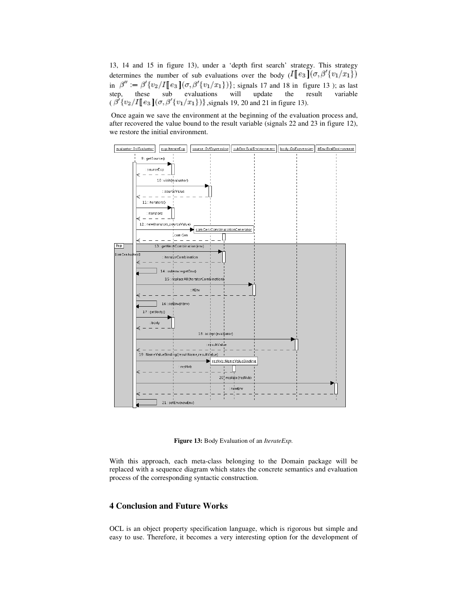13, 14 and 15 in figure 13), under a 'depth first search' strategy. This strategy determines the number of sub evaluations over the body  $(I[[e_3](\sigma, \beta'[v_1/x_1])$ in  $\beta'' := \beta' \{v_2/I \llbracket e_3 \rrbracket (\sigma, \beta' \{v_1/x_1\}) \}$ ; signals 17 and 18 in figure 13 ); as last step, these sub evaluations will update the result variable these sub evaluations will update the result variable  $(\hat{\beta}'\{v_2/I\pi [e_3](\sigma,\beta'\{v_1/x_1\})\})$ , signals 19, 20 and 21 in figure 13).

Once again we save the environment at the beginning of the evaluation process and, after recovered the value bound to the result variable (signals 22 and 23 in figure 12), we restore the initial environment.



**Figure 13:** Body Evaluation of an *IterateExp.*

With this approach, each meta-class belonging to the Domain package will be replaced with a sequence diagram which states the concrete semantics and evaluation process of the corresponding syntactic construction.

### **4 Conclusion and Future Works**

OCL is an object property specification language, which is rigorous but simple and easy to use. Therefore, it becomes a very interesting option for the development of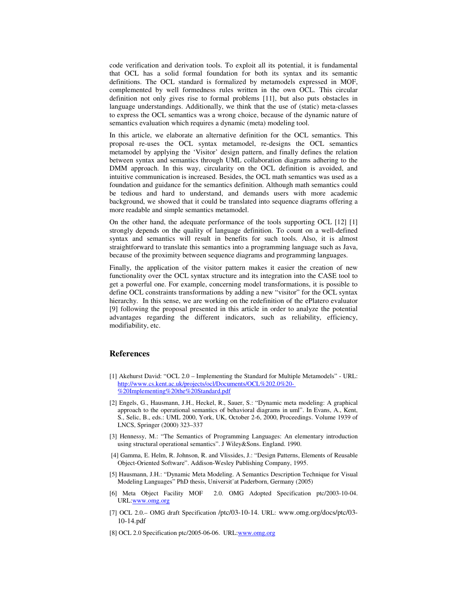code verification and derivation tools. To exploit all its potential, it is fundamental that OCL has a solid formal foundation for both its syntax and its semantic definitions. The OCL standard is formalized by metamodels expressed in MOF, complemented by well formedness rules written in the own OCL. This circular definition not only gives rise to formal problems [11], but also puts obstacles in language understandings. Additionally, we think that the use of (static) meta-classes to express the OCL semantics was a wrong choice, because of the dynamic nature of semantics evaluation which requires a dynamic (meta) modeling tool.

In this article, we elaborate an alternative definition for the OCL semantics. This proposal re-uses the OCL syntax metamodel, re-designs the OCL semantics metamodel by applying the 'Visitor' design pattern, and finally defines the relation between syntax and semantics through UML collaboration diagrams adhering to the DMM approach. In this way, circularity on the OCL definition is avoided, and intuitive communication is increased. Besides, the OCL math semantics was used as a foundation and guidance for the semantics definition. Although math semantics could be tedious and hard to understand, and demands users with more academic background, we showed that it could be translated into sequence diagrams offering a more readable and simple semantics metamodel.

On the other hand, the adequate performance of the tools supporting OCL [12] [1] strongly depends on the quality of language definition. To count on a well-defined syntax and semantics will result in benefits for such tools. Also, it is almost straightforward to translate this semantics into a programming language such as Java, because of the proximity between sequence diagrams and programming languages.

Finally, the application of the visitor pattern makes it easier the creation of new functionality over the OCL syntax structure and its integration into the CASE tool to get a powerful one. For example, concerning model transformations, it is possible to define OCL constraints transformations by adding a new " visitor" for the OCL syntax hierarchy. In this sense, we are working on the redefinition of the ePlatero evaluator [9] following the proposal presented in this article in order to analyze the potential advantages regarding the different indicators, such as reliability, efficiency, modifiability, etc.

#### **References**

- [1] Akehurst David: "OCL 2.0 Implementing the Standard for Multiple Metamodels" URL: http://www.cs.kent.ac.uk/projects/ocl/Documents/OCL%202.0%20- %20Implementing%20the%20Standard.pdf
- [2] Engels, G., Hausmann, J.H., Heckel, R., Sauer, S.: " Dynamic meta modeling: A graphical approach to the operational semantics of behavioral diagrams in uml". In Evans, A., Kent, S., Selic, B., eds.: UML 2000, York, UK, October 2-6, 2000, Proceedings. Volume 1939 of LNCS, Springer (2000) 323–337
- [3] Hennessy, M.: " The Semantics of Programming Languages: An elementary introduction using structural operational semantics". J Wiley&Sons. England. 1990.
- [4] Gamma, E. Helm, R. Johnson, R. and Vlissides, J.: " Design Patterns, Elements of Reusable Object-Oriented Software". Addison-Wesley Publishing Company, 1995.
- [5] Hausmann, J.H.: " Dynamic Meta Modeling. A Semantics Description Technique for Visual Modeling Languages" PhD thesis, Universit¨at Paderborn, Germany (2005)
- [6] Meta Object Facility MOF 2.0. OMG Adopted Specification ptc/2003-10-04. URL:www.omg.org
- [7] OCL 2.0.– OMG draft Specification /ptc/03-10-14. URL: www.omg.org/docs/ptc/03- 10-14.pdf
- [8] OCL 2.0 Specification ptc/2005-06-06. URL:www.omg.org